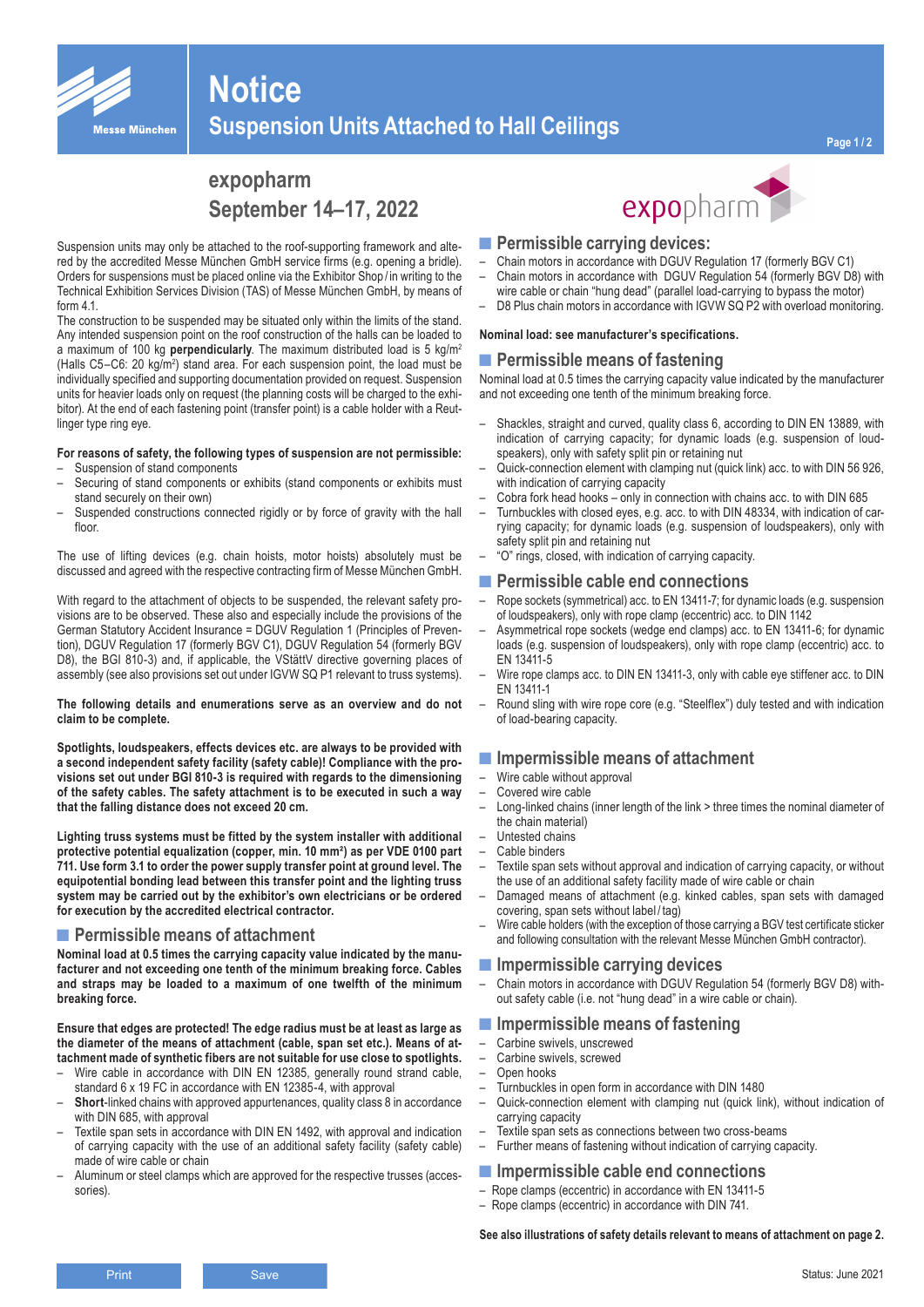

# **Suspension Units Attached to Hall Ceilings**

## **expopharm September 14–17, 2022**

Suspension units may only be attached to the roof-supporting framework and altered by the accredited Messe München GmbH service firms (e.g. opening a bridle). Orders for suspensions must be placed online via the Exhibitor Shop / in writing to the Technical Exhibition Services Division (TAS) of Messe München GmbH, by means of form 4.1.

**Notice**

The construction to be suspended may be situated only within the limits of the stand. Any intended suspension point on the roof construction of the halls can be loaded to a maximum of 100 kg **perpendicularly**. The maximum distributed load is 5 kg/m2 (Halls C5-C6: 20 kg/m<sup>2</sup>) stand area. For each suspension point, the load must be individually specified and supporting documentation provided on request. Suspension units for heavier loads only on request (the planning costs will be charged to the exhibitor). At the end of each fastening point (transfer point) is a cable holder with a Reutlinger type ring eye.

#### **For reasons of safety, the following types of suspension are not permissible:**

- Suspension of stand components
- Securing of stand components or exhibits (stand components or exhibits must stand securely on their own)
- Suspended constructions connected rigidly or by force of gravity with the hall floor.

The use of lifting devices (e.g. chain hoists, motor hoists) absolutely must be discussed and agreed with the respective contracting firm of Messe München GmbH.

With regard to the attachment of objects to be suspended, the relevant safety provisions are to be observed. These also and especially include the provisions of the German Statutory Accident Insurance = DGUV Regulation 1 (Principles of Prevention), DGUV Regulation 17 (formerly BGV C1), DGUV Regulation 54 (formerly BGV D8), the BGI 810-3) and, if applicable, the VStättV directive governing places of assembly (see also provisions set out under IGVW SQ P1 relevant to truss systems).

#### **The following details and enumerations serve as an overview and do not claim to be complete.**

**Spotlights, loudspeakers, effects devices etc. are always to be provided with a second independent safety facility (safety cable)! Compliance with the provisions set out under BGI 810-3 is required with regards to the dimensioning of the safety cables. The safety attachment is to be executed in such a way that the falling distance does not exceed 20 cm.**

**Lighting truss systems must be fitted by the system installer with additional protective potential equalization (copper, min. 10 mm²) as per VDE 0100 part 711. Use form 3.1 to order the power supply transfer point at ground level. The equipotential bonding lead between this transfer point and the lighting truss system may be carried out by the exhibitor's own electricians or be ordered for execution by the accredited electrical contractor.** 

#### ■ Permissible means of attachment

**Nominal load at 0.5 times the carrying capacity value indicated by the manufacturer and not exceeding one tenth of the minimum breaking force. Cables and straps may be loaded to a maximum of one twelfth of the minimum breaking force.** 

**Ensure that edges are protected! The edge radius must be at least as large as the diameter of the means of attachment (cable, span set etc.). Means of attachment made of synthetic fibers are not suitable for use close to spotlights.**

- Wire cable in accordance with DIN EN 12385, generally round strand cable, standard 6 x 19 FC in accordance with EN 12385-4, with approval
- **Short**-linked chains with approved appurtenances, quality class 8 in accordance with DIN 685, with approval
- Textile span sets in accordance with DIN EN 1492, with approval and indication of carrying capacity with the use of an additional safety facility (safety cable) made of wire cable or chain
- Aluminum or steel clamps which are approved for the respective trusses (accessories).



- **■Permissible carrying devices:**
- Chain motors in accordance with DGUV Regulation 17 (formerly BGV C1) – Chain motors in accordance with DGUV Regulation 54 (formerly BGV D8) with
- wire cable or chain "hung dead" (parallel load-carrying to bypass the motor) – D8 Plus chain motors in accordance with IGVW SQ P2 with overload monitoring.

#### **Nominal load: see manufacturer's specifications.**

#### ■ Permissible means of fastening

Nominal load at 0.5 times the carrying capacity value indicated by the manufacturer and not exceeding one tenth of the minimum breaking force.

- Shackles, straight and curved, quality class 6, according to DIN EN 13889, with indication of carrying capacity; for dynamic loads (e.g. suspension of loudspeakers), only with safety split pin or retaining nut
- Quick-connection element with clamping nut (quick link) acc. to with DIN 56 926, with indication of carrying capacity
- Cobra fork head hooks only in connection with chains acc. to with DIN 685
- Turnbuckles with closed eyes, e.g. acc. to with DIN 48334, with indication of carrying capacity; for dynamic loads (e.g. suspension of loudspeakers), only with safety split pin and retaining nut
- "O" rings, closed, with indication of carrying capacity.

#### **■Permissible cable end connections**

- Rope sockets (symmetrical) acc. to EN 13411-7; for dynamic loads (e.g. suspension of loudspeakers), only with rope clamp (eccentric) acc. to DIN 1142
- Asymmetrical rope sockets (wedge end clamps) acc. to EN 13411-6; for dynamic loads (e.g. suspension of loudspeakers), only with rope clamp (eccentric) acc. to EN 13411-5
- Wire rope clamps acc. to DIN EN 13411-3, only with cable eye stiffener acc. to DIN EN 13411-1
- Round sling with wire rope core (e.g. "Steelflex") duly tested and with indication of load-bearing capacity.

#### **■Impermissible means of attachment**

- Wire cable without approval
- Covered wire cable
- Long-linked chains (inner length of the link > three times the nominal diameter of the chain material)
- Untested chains
- Cable binders
- Textile span sets without approval and indication of carrying capacity, or without the use of an additional safety facility made of wire cable or chain
- Damaged means of attachment (e.g. kinked cables, span sets with damaged covering, span sets without label/ $\tan$
- Wire cable holders (with the exception of those carrying a BGV test certificate sticker and following consultation with the relevant Messe München GmbH contractor).

#### **■Impermissible carrying devices**

- Chain motors in accordance with DGUV Regulation 54 (formerly BGV D8) without safety cable (i.e. not "hung dead" in a wire cable or chain).
- **■Impermissible means of fastening**
- Carbine swivels, unscrewed
- Carbine swivels, screwed
- Open hooks
- Turnbuckles in open form in accordance with DIN 1480
- Quick-connection element with clamping nut (quick link), without indication of carrying capacity
- Textile span sets as connections between two cross-beams<br>– Further means of fastening without indication of carrying car
- Further means of fastening without indication of carrying capacity.

#### **■Impermissible cable end connections**

- Rope clamps (eccentric) in accordance with EN 13411-5
- Rope clamps (eccentric) in accordance with DIN 741.

**See also illustrations of safety details relevant to means of attachment on page 2.**